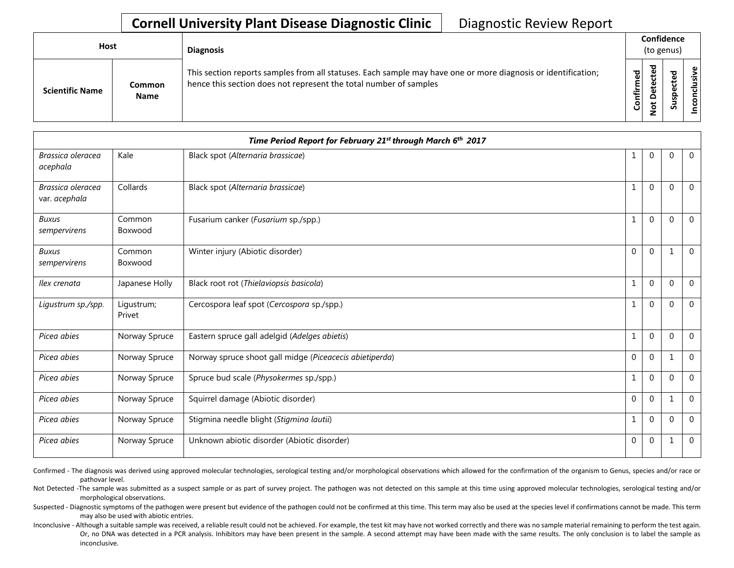## **Cornell University Plant Disease Diagnostic Clinic** | Diagnostic Review Report

| Host |                        |                              | <b>Diagnosis</b>                                                                                                                                                                   |           | Confidence<br>(to genus) |   |                  |  |  |
|------|------------------------|------------------------------|------------------------------------------------------------------------------------------------------------------------------------------------------------------------------------|-----------|--------------------------|---|------------------|--|--|
|      | <b>Scientific Name</b> | <b>Common</b><br><b>Name</b> | This section reports samples from all statuses. Each sample may have one or more diagnosis or identification;<br>hence this section does not represent the total number of samples | Confirmed | 73                       | s | usive<br>᠊ᠣ<br>g |  |  |

| Time Period Report for February 21st through March 6th 2017 |                      |                                                         |              |              |          |                |  |
|-------------------------------------------------------------|----------------------|---------------------------------------------------------|--------------|--------------|----------|----------------|--|
| Brassica oleracea<br>acephala                               | Kale                 | Black spot (Alternaria brassicae)                       |              | $\mathbf{0}$ | $\Omega$ | $\mathbf 0$    |  |
| Brassica oleracea<br>var. acephala                          | Collards             | Black spot (Alternaria brassicae)                       | 1            | $\mathbf{0}$ | $\Omega$ | $\overline{0}$ |  |
| <b>Buxus</b><br>sempervirens                                | Common<br>Boxwood    | Fusarium canker (Fusarium sp./spp.)                     |              | $\mathbf{0}$ | $\Omega$ | $\mathbf 0$    |  |
| <b>Buxus</b><br>sempervirens                                | Common<br>Boxwood    | Winter injury (Abiotic disorder)                        | $\mathbf{0}$ | $\mathbf{0}$ |          | $\mathbf 0$    |  |
| Ilex crenata                                                | Japanese Holly       | Black root rot (Thielaviopsis basicola)                 |              | $\mathbf{0}$ | $\Omega$ | $\mathbf 0$    |  |
| Ligustrum sp./spp.                                          | Ligustrum;<br>Privet | Cercospora leaf spot (Cercospora sp./spp.)              | $\mathbf{1}$ | $\mathbf{0}$ | $\Omega$ | $\mathbf{0}$   |  |
| Picea abies                                                 | Norway Spruce        | Eastern spruce gall adelgid (Adelges abietis)           |              | $\mathbf{0}$ | $\Omega$ | $\mathbf{0}$   |  |
| Picea abies                                                 | Norway Spruce        | Norway spruce shoot gall midge (Piceacecis abietiperda) | $\mathbf{0}$ | $\mathbf{0}$ | 1        | $\overline{0}$ |  |
| Picea abies                                                 | Norway Spruce        | Spruce bud scale (Physokermes sp./spp.)                 | 1            | $\mathbf{0}$ | $\Omega$ | $\mathbf{0}$   |  |
| Picea abies                                                 | Norway Spruce        | Squirrel damage (Abiotic disorder)                      | $\mathbf{0}$ | $\mathbf{0}$ |          | $\overline{0}$ |  |
| Picea abies                                                 | Norway Spruce        | Stigmina needle blight (Stigmina lautii)                |              | $\mathbf{0}$ | $\Omega$ | $\mathbf{0}$   |  |
| Picea abies                                                 | Norway Spruce        | Unknown abiotic disorder (Abiotic disorder)             | 0            | $\mathbf{0}$ |          | $\mathbf{0}$   |  |

Confirmed - The diagnosis was derived using approved molecular technologies, serological testing and/or morphological observations which allowed for the confirmation of the organism to Genus, species and/or race or pathovar level.

Not Detected -The sample was submitted as a suspect sample or as part of survey project. The pathogen was not detected on this sample at this time using approved molecular technologies, serological testing and/or morphological observations.

Suspected - Diagnostic symptoms of the pathogen were present but evidence of the pathogen could not be confirmed at this time. This term may also be used at the species level if confirmations cannot be made. This term may also be used with abiotic entries.

Inconclusive - Although a suitable sample was received, a reliable result could not be achieved. For example, the test kit may have not worked correctly and there was no sample material remaining to perform the test again. Or, no DNA was detected in a PCR analysis. Inhibitors may have been present in the sample. A second attempt may have been made with the same results. The only conclusion is to label the sample as inconclusive.